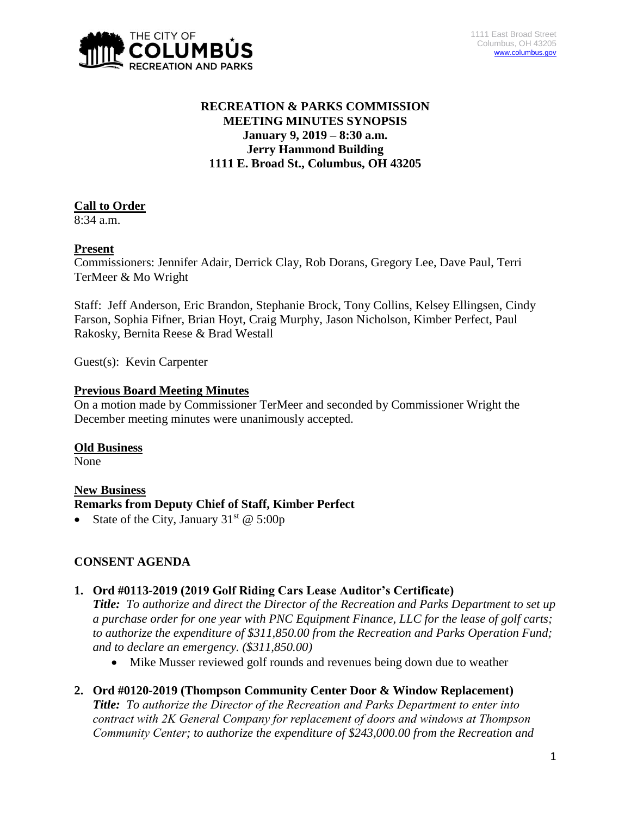

# **RECREATION & PARKS COMMISSION MEETING MINUTES SYNOPSIS January 9, 2019 – 8:30 a.m. Jerry Hammond Building 1111 E. Broad St., Columbus, OH 43205**

## **Call to Order**

8:34 a.m.

## **Present**

Commissioners: Jennifer Adair, Derrick Clay, Rob Dorans, Gregory Lee, Dave Paul, Terri TerMeer & Mo Wright

Staff: Jeff Anderson, Eric Brandon, Stephanie Brock, Tony Collins, Kelsey Ellingsen, Cindy Farson, Sophia Fifner, Brian Hoyt, Craig Murphy, Jason Nicholson, Kimber Perfect, Paul Rakosky, Bernita Reese & Brad Westall

Guest(s): Kevin Carpenter

#### **Previous Board Meeting Minutes**

On a motion made by Commissioner TerMeer and seconded by Commissioner Wright the December meeting minutes were unanimously accepted.

#### **Old Business**

None

#### **New Business Remarks from Deputy Chief of Staff, Kimber Perfect**

State of the City, January  $31<sup>st</sup>$  @ 5:00p

# **CONSENT AGENDA**

## **1. Ord #0113-2019 (2019 Golf Riding Cars Lease Auditor's Certificate)**

*Title: To authorize and direct the Director of the Recreation and Parks Department to set up a purchase order for one year with PNC Equipment Finance, LLC for the lease of golf carts; to authorize the expenditure of \$311,850.00 from the Recreation and Parks Operation Fund; and to declare an emergency. (\$311,850.00)*

Mike Musser reviewed golf rounds and revenues being down due to weather

# **2. Ord #0120-2019 (Thompson Community Center Door & Window Replacement)**

*Title: To authorize the Director of the Recreation and Parks Department to enter into contract with 2K General Company for replacement of doors and windows at Thompson Community Center; to authorize the expenditure of \$243,000.00 from the Recreation and*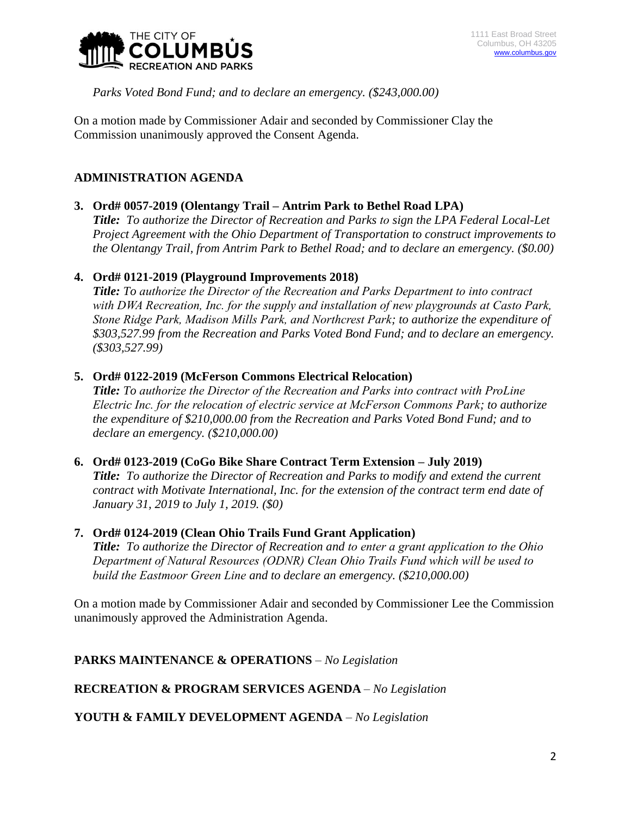

*Parks Voted Bond Fund; and to declare an emergency. (\$243,000.00)*

On a motion made by Commissioner Adair and seconded by Commissioner Clay the Commission unanimously approved the Consent Agenda.

# **ADMINISTRATION AGENDA**

## **3. Ord# 0057-2019 (Olentangy Trail – Antrim Park to Bethel Road LPA)**

*Title: To authorize the Director of Recreation and Parks to sign the LPA Federal Local-Let Project Agreement with the Ohio Department of Transportation to construct improvements to the Olentangy Trail, from Antrim Park to Bethel Road; and to declare an emergency. (\$0.00)*

#### **4. Ord# 0121-2019 (Playground Improvements 2018)**

*Title: To authorize the Director of the Recreation and Parks Department to into contract with DWA Recreation, Inc. for the supply and installation of new playgrounds at Casto Park, Stone Ridge Park, Madison Mills Park, and Northcrest Park; to authorize the expenditure of \$303,527.99 from the Recreation and Parks Voted Bond Fund; and to declare an emergency. (\$303,527.99)*

#### **5. Ord# 0122-2019 (McFerson Commons Electrical Relocation)**

*Title: To authorize the Director of the Recreation and Parks into contract with ProLine Electric Inc. for the relocation of electric service at McFerson Commons Park; to authorize the expenditure of \$210,000.00 from the Recreation and Parks Voted Bond Fund; and to declare an emergency. (\$210,000.00)*

## **6. Ord# 0123-2019 (CoGo Bike Share Contract Term Extension – July 2019)**

*Title: To authorize the Director of Recreation and Parks to modify and extend the current contract with Motivate International, Inc. for the extension of the contract term end date of January 31, 2019 to July 1, 2019. (\$0)* 

#### **7. Ord# 0124-2019 (Clean Ohio Trails Fund Grant Application)**

*Title: To authorize the Director of Recreation and to enter a grant application to the Ohio Department of Natural Resources (ODNR) Clean Ohio Trails Fund which will be used to build the Eastmoor Green Line and to declare an emergency. (\$210,000.00)*

On a motion made by Commissioner Adair and seconded by Commissioner Lee the Commission unanimously approved the Administration Agenda.

## **PARKS MAINTENANCE & OPERATIONS** *– No Legislation*

## **RECREATION & PROGRAM SERVICES AGENDA** *– No Legislation*

**YOUTH & FAMILY DEVELOPMENT AGENDA** *– No Legislation*